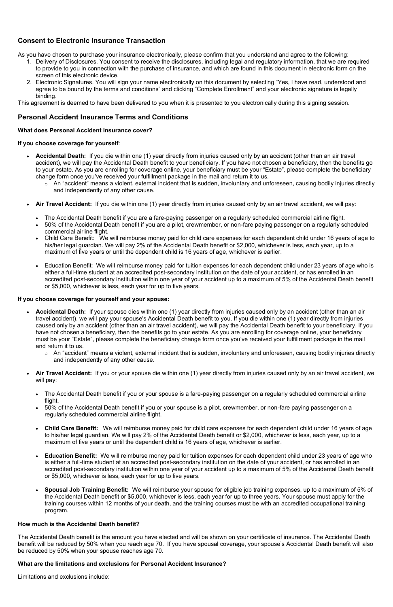As you have chosen to purchase your insurance electronically, please confirm that you understand and agree to the following:

# **Consent to Electronic Insurance Transaction**

- 1. Delivery of Disclosures. You consent to receive the disclosures, including legal and regulatory information, that we are required to provide to you in connection with the purchase of insurance, and which are found in this document in electronic form on the screen of this electronic device.
- 2. Electronic Signatures. You will sign your name electronically on this document by selecting "Yes, I have read, understood and agree to be bound by the terms and conditions" and clicking "Complete Enrollment" and your electronic signature is legally binding.

This agreement is deemed to have been delivered to you when it is presented to you electronically during this signing session.

# **If you choose coverage for yourself**:

# **Personal Accident Insurance Terms and Conditions**

# **What does Personal Accident Insurance cover?**

- • **Accidental Death:** If you die within one (1) year directly from injuries caused only by an accident (other than an air travel accident), we will pay the Accidental Death benefit to your beneficiary. If you have not chosen a beneficiary, then the benefits go to your estate. As you are enrolling for coverage online, your beneficiary must be your "Estate", please complete the beneficiary change form once you've received your fulfillment package in the mail and return it to us.
	- $\circ$   $\,$  An "accident" means a violent, external incident that is sudden, involuntary and unforeseen, causing bodily injuries directly and independently of any other cause.
- **Air Travel Accident:** If you die within one (1) year directly from injuries caused only by an air travel accident, we will pay:
	- The Accidental Death benefit if you are a fare-paying passenger on a regularly scheduled commercial airline flight.
	- • 50% of the Accidental Death benefit if you are a pilot, crewmember, or non-fare paying passenger on a regularly scheduled commercial airline flight.
	- • Child Care Benefit: We will reimburse money paid for child care expenses for each dependent child under 16 years of age to his/her legal guardian. We will pay 2% of the Accidental Death benefit or \$2,000, whichever is less, each year, up to a maximum of five years or until the dependent child is 16 years of age, whichever is earlier.
	- • Education Benefit: We will reimburse money paid for tuition expenses for each dependent child under 23 years of age who is either a full-time student at an accredited post-secondary institution on the date of your accident, or has enrolled in an accredited post-secondary institution within one year of your accident up to a maximum of 5% of the Accidental Death benefit or \$5,000, whichever is less, each year for up to five years.

# **If you choose coverage for yourself and your spouse:**

- Accidental Death: If your spouse dies within one (1) year directly from injuries caused only by an accident (other than an air travel accident), we will pay your spouse's Accidental Death benefit to you. If you die within one (1) year directly from injuries caused only by an accident (other than an air travel accident), we will pay the Accidental Death benefit to your beneficiary. If you have not chosen a beneficiary, then the benefits go to your estate. As you are enrolling for coverage online, your beneficiary must be your "Estate", please complete the beneficiary change form once you've received your fulfillment package in the mail and return it to us.
	- $\circ$   $\,$  An "accident" means a violent, external incident that is sudden, involuntary and unforeseen, causing bodily injuries directly and independently of any other cause.
- **Air Travel Accident:** If you or your spouse die within one (1) year directly from injuries caused only by an air travel accident, we will pay:
	- • The Accidental Death benefit if you or your spouse is a fare-paying passenger on a regularly scheduled commercial airline flight.
	- • 50% of the Accidental Death benefit if you or your spouse is a pilot, crewmember, or non-fare paying passenger on a regularly scheduled commercial airline flight.
	- **Child Care Benefit:** We will reimburse money paid for child care expenses for each dependent child under 16 years of age to his/her legal guardian. We will pay 2% of the Accidental Death benefit or \$2,000, whichever is less, each year, up to a maximum of five years or until the dependent child is 16 years of age, whichever is earlier.
	- • **Education Benefit:** We will reimburse money paid for tuition expenses for each dependent child under 23 years of age who is either a full-time student at an accredited post-secondary institution on the date of your accident, or has enrolled in an accredited post-secondary institution within one year of your accident up to a maximum of 5% of the Accidental Death benefit or \$5,000, whichever is less, each year for up to five years.
	- **Spousal Job Training Benefit:** We will reimburse your spouse for eligible job training expenses, up to a maximum of 5% of the Accidental Death benefit or \$5,000, whichever is less, each year for up to three years. Your spouse must apply for the training courses within 12 months of your death, and the training courses must be with an accredited occupational training program.

 The Accidental Death benefit is the amount you have elected and will be shown on your certificate of insurance. The Accidental Death benefit will be reduced by 50% when you reach age 70. If you have spousal coverage, your spouse's Accidental Death benefit will also be reduced by 50% when your spouse reaches age 70.

### **How much is the Accidental Death benefit?**

# **What are the limitations and exclusions for Personal Accident Insurance?**

Limitations and exclusions include: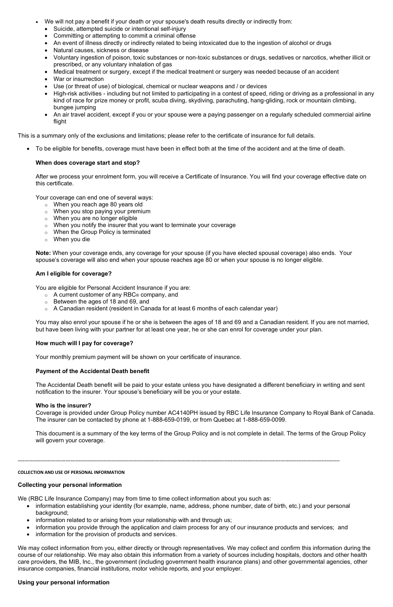- • We will not pay a benefit if your death or your spouse's death results directly or indirectly from:
	- Suicide, attempted suicide or intentional self-injury
	- Committing or attempting to commit a criminal offense
	- An event of illness directly or indirectly related to being intoxicated due to the ingestion of alcohol or drugs
	- Natural causes, sickness or disease
	- • Voluntary ingestion of poison, toxic substances or non-toxic substances or drugs, sedatives or narcotics, whether illicit or prescribed, or any voluntary inhalation of gas
	- Medical treatment or surgery, except if the medical treatment or surgery was needed because of an accident
	- War or insurrection
	- Use (or threat of use) of biological, chemical or nuclear weapons and / or devices
	- • High-risk activities including but not limited to participating in a contest of speed, riding or driving as a professional in any kind of race for prize money or profit, scuba diving, skydiving, parachuting, hang-gliding, rock or mountain climbing, bungee jumping
	- • An air travel accident, except if you or your spouse were a paying passenger on a regularly scheduled commercial airline flight

This is a summary only of the exclusions and limitations; please refer to the certificate of insurance for full details.

• To be eligible for benefits, coverage must have been in effect both at the time of the accident and at the time of death.

 After we process your enrolment form, you will receive a Certificate of Insurance. You will find your coverage effective date on this certificate.

Your coverage can end one of several ways:

- $\circ$  When you reach age 80 years old
- $\circ$  When you stop paying your premium
- $\circ$  When you are no longer eligible
- $\circ$  When you notify the insurer that you want to terminate your coverage
- $\circ$  When the Group Policy is terminated
- $\circ$  When you die

 **Note:** When your coverage ends, any coverage for your spouse (if you have elected spousal coverage) also ends. Your spouse's coverage will also end when your spouse reaches age 80 or when your spouse is no longer eligible.

- o A current customer of any RBC® company, and
- $\circ$  Between the ages of 18 and 69, and
- $\circ$   $\,$  A Canadian resident (resident in Canada for at least 6 months of each calendar year)  $\,$

You are eligible for Personal Accident Insurance if you are:

 You may also enrol your spouse if he or she is between the ages of 18 and 69 and a Canadian resident. If you are not married, but have been living with your partner for at least one year, he or she can enrol for coverage under your plan.

Your monthly premium payment will be shown on your certificate of insurance.

 The Accidental Death benefit will be paid to your estate unless you have designated a different beneficiary in writing and sent notification to the insurer. Your spouse's beneficiary will be you or your estate.

# **When does coverage start and stop?**

 Coverage is provided under Group Policy number AC4140PH issued by RBC Life Insurance Company to Royal Bank of Canada. The insurer can be contacted by phone at 1-888-659-0199, or from Quebec at 1-888-659-0099.

 This document is a summary of the key terms of the Group Policy and is not complete in detail. The terms of the Group Policy will govern your coverage.

We (RBC Life Insurance Company) may from time to time collect information about you such as:

- • information establishing your identity (for example, name, address, phone number, date of birth, etc.) and your personal background;
- information related to or arising from your relationship with and through us;
- information you provide through the application and claim process for any of our insurance products and services; and
- information for the provision of products and services.

 We may collect information from you, either directly or through representatives. We may collect and confirm this information during the course of our relationship. We may also obtain this information from a variety of sources including hospitals, doctors and other health care providers, the MIB, Inc., the government (including government health insurance plans) and other governmental agencies, other insurance companies, financial institutions, motor vehicle reports, and your employer.

# **Am I eligible for coverage?**

# **How much will I pay for coverage?**

#### **Payment of the Accidental Death benefit**

#### **Who is the insurer?**

#### **COLLECTION AND USE OF PERSONAL INFORMATION**

# **Collecting your personal information**

### **Using your personal information**